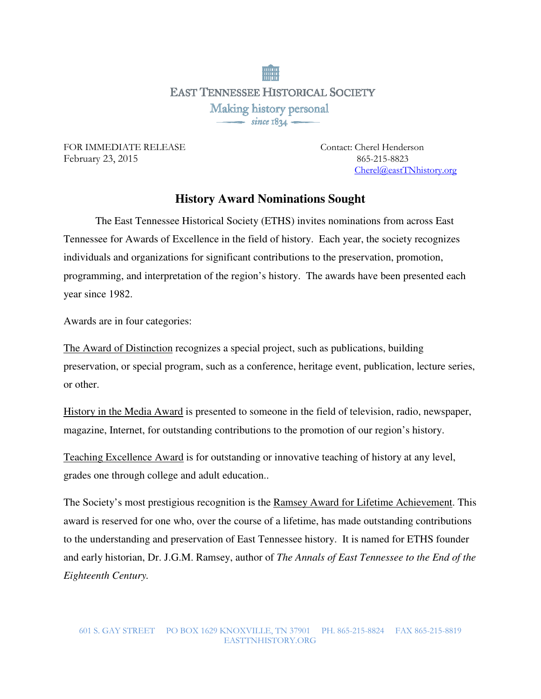**EAST TENNESSEE HISTORICAL SOCIETY** Making history personal  $\frac{1}{\sqrt{1-\frac{1}{2}}}\sin$  ce 1834

FOR IMMEDIATE RELEASE Contact: Cherel Henderson February 23, 2015865-215-8823

Cherel@eastTNhistory.org

## **History Award Nominations Sought**

 The East Tennessee Historical Society (ETHS) invites nominations from across East Tennessee for Awards of Excellence in the field of history. Each year, the society recognizes individuals and organizations for significant contributions to the preservation, promotion, programming, and interpretation of the region's history. The awards have been presented each year since 1982.

Awards are in four categories:

The Award of Distinction recognizes a special project, such as publications, building preservation, or special program, such as a conference, heritage event, publication, lecture series, or other.

History in the Media Award is presented to someone in the field of television, radio, newspaper, magazine, Internet, for outstanding contributions to the promotion of our region's history.

Teaching Excellence Award is for outstanding or innovative teaching of history at any level, grades one through college and adult education..

The Society's most prestigious recognition is the Ramsey Award for Lifetime Achievement. This award is reserved for one who, over the course of a lifetime, has made outstanding contributions to the understanding and preservation of East Tennessee history. It is named for ETHS founder and early historian, Dr. J.G.M. Ramsey, author of *The Annals of East Tennessee to the End of the Eighteenth Century.*